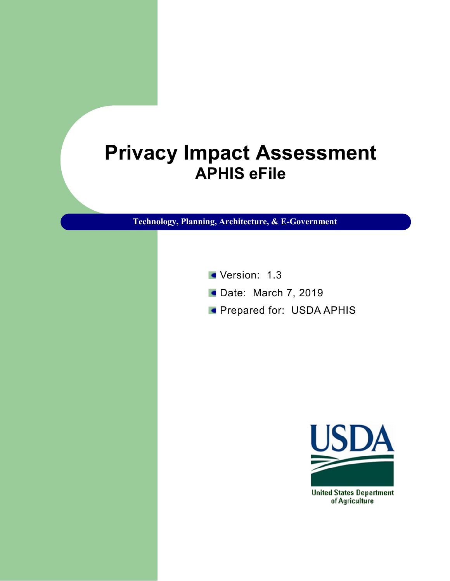# **Privacy Impact Assessment APHIS eFile**

**Technology, Planning, Architecture, & E-Government**

- Version: 1.3
- **Date: March 7, 2019**
- **Prepared for: USDA APHIS**



of Agriculture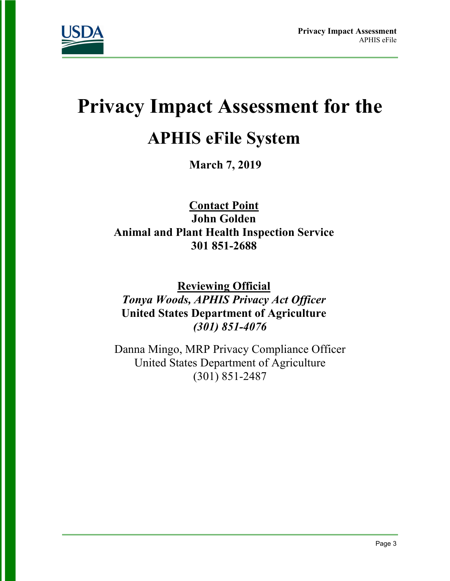

# **Privacy Impact Assessment for the**

## **APHIS eFile System**

**March 7, 2019**

**Contact Point John Golden Animal and Plant Health Inspection Service 301 851-2688**

**Reviewing Official**  *Tonya Woods, APHIS Privacy Act Officer* **United States Department of Agriculture** *(301) 851-4076*

Danna Mingo, MRP Privacy Compliance Officer United States Department of Agriculture (301) 851-2487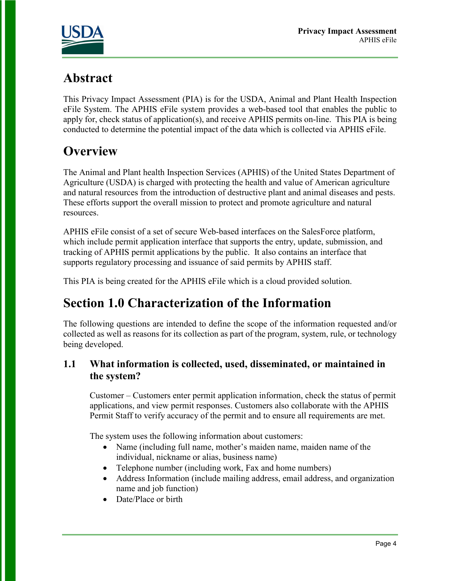

## **Abstract**

This Privacy Impact Assessment (PIA) is for the USDA, Animal and Plant Health Inspection eFile System. The APHIS eFile system provides a web-based tool that enables the public to apply for, check status of application(s), and receive APHIS permits on-line. This PIA is being conducted to determine the potential impact of the data which is collected via APHIS eFile.

## **Overview**

The Animal and Plant health Inspection Services (APHIS) of the United States Department of Agriculture (USDA) is charged with protecting the health and value of American agriculture and natural resources from the introduction of destructive plant and animal diseases and pests. These efforts support the overall mission to protect and promote agriculture and natural resources.

APHIS eFile consist of a set of secure Web-based interfaces on the SalesForce platform, which include permit application interface that supports the entry, update, submission, and tracking of APHIS permit applications by the public. It also contains an interface that supports regulatory processing and issuance of said permits by APHIS staff.

This PIA is being created for the APHIS eFile which is a cloud provided solution.

## **Section 1.0 Characterization of the Information**

The following questions are intended to define the scope of the information requested and/or collected as well as reasons for its collection as part of the program, system, rule, or technology being developed.

#### **1.1 What information is collected, used, disseminated, or maintained in the system?**

Customer – Customers enter permit application information, check the status of permit applications, and view permit responses. Customers also collaborate with the APHIS Permit Staff to verify accuracy of the permit and to ensure all requirements are met.

The system uses the following information about customers:

- Name (including full name, mother's maiden name, maiden name of the individual, nickname or alias, business name)
- Telephone number (including work, Fax and home numbers)
- Address Information (include mailing address, email address, and organization name and job function)
- Date/Place or birth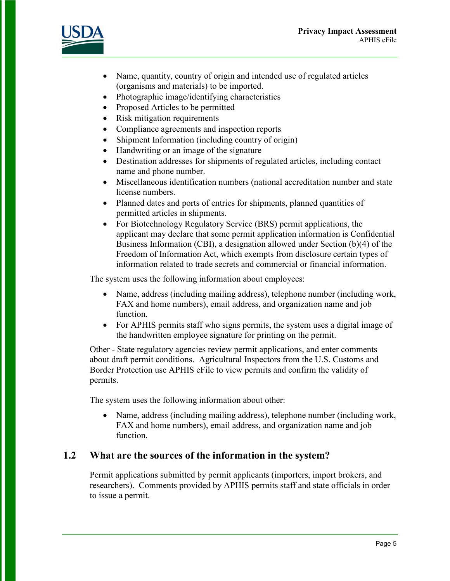

- Name, quantity, country of origin and intended use of regulated articles (organisms and materials) to be imported.
- Photographic image/identifying characteristics
- Proposed Articles to be permitted
- Risk mitigation requirements
- Compliance agreements and inspection reports
- Shipment Information (including country of origin)
- Handwriting or an image of the signature
- Destination addresses for shipments of regulated articles, including contact name and phone number.
- Miscellaneous identification numbers (national accreditation number and state license numbers.
- Planned dates and ports of entries for shipments, planned quantities of permitted articles in shipments.
- For Biotechnology Regulatory Service (BRS) permit applications, the applicant may declare that some permit application information is Confidential Business Information (CBI), a designation allowed under Section (b)(4) of the Freedom of Information Act, which exempts from disclosure certain types of information related to trade secrets and commercial or financial information.

The system uses the following information about employees:

- Name, address (including mailing address), telephone number (including work, FAX and home numbers), email address, and organization name and job function.
- For APHIS permits staff who signs permits, the system uses a digital image of the handwritten employee signature for printing on the permit.

Other - State regulatory agencies review permit applications, and enter comments about draft permit conditions. Agricultural Inspectors from the U.S. Customs and Border Protection use APHIS eFile to view permits and confirm the validity of permits.

The system uses the following information about other:

• Name, address (including mailing address), telephone number (including work, FAX and home numbers), email address, and organization name and job function.

#### **1.2 What are the sources of the information in the system?**

Permit applications submitted by permit applicants (importers, import brokers, and researchers). Comments provided by APHIS permits staff and state officials in order to issue a permit.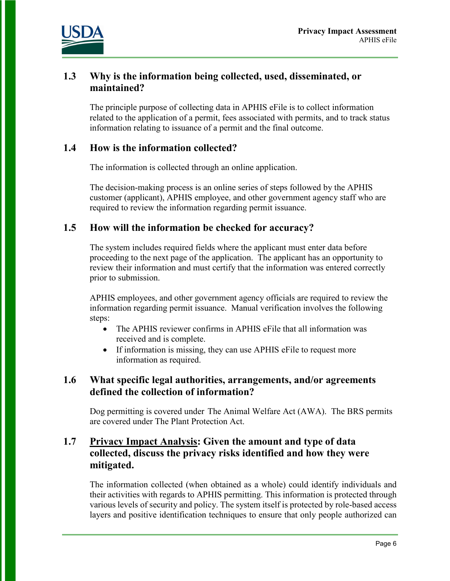

#### **1.3 Why is the information being collected, used, disseminated, or maintained?**

The principle purpose of collecting data in APHIS eFile is to collect information related to the application of a permit, fees associated with permits, and to track status information relating to issuance of a permit and the final outcome.

#### **1.4 How is the information collected?**

The information is collected through an online application.

The decision-making process is an online series of steps followed by the APHIS customer (applicant), APHIS employee, and other government agency staff who are required to review the information regarding permit issuance.

#### **1.5 How will the information be checked for accuracy?**

The system includes required fields where the applicant must enter data before proceeding to the next page of the application. The applicant has an opportunity to review their information and must certify that the information was entered correctly prior to submission.

APHIS employees, and other government agency officials are required to review the information regarding permit issuance. Manual verification involves the following steps:

- The APHIS reviewer confirms in APHIS eFile that all information was received and is complete.
- If information is missing, they can use APHIS eFile to request more information as required.

#### **1.6 What specific legal authorities, arrangements, and/or agreements defined the collection of information?**

Dog permitting is covered under The Animal Welfare Act (AWA). The BRS permits are covered under The Plant Protection Act.

#### **1.7 Privacy Impact Analysis: Given the amount and type of data collected, discuss the privacy risks identified and how they were mitigated.**

The information collected (when obtained as a whole) could identify individuals and their activities with regards to APHIS permitting. This information is protected through various levels of security and policy. The system itself is protected by role-based access layers and positive identification techniques to ensure that only people authorized can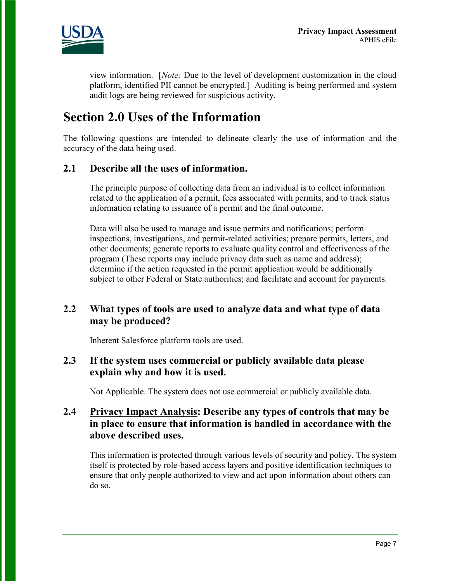

view information. [*Note:* Due to the level of development customization in the cloud platform, identified PII cannot be encrypted.] Auditing is being performed and system audit logs are being reviewed for suspicious activity.

## **Section 2.0 Uses of the Information**

The following questions are intended to delineate clearly the use of information and the accuracy of the data being used.

#### **2.1 Describe all the uses of information.**

The principle purpose of collecting data from an individual is to collect information related to the application of a permit, fees associated with permits, and to track status information relating to issuance of a permit and the final outcome.

Data will also be used to manage and issue permits and notifications; perform inspections, investigations, and permit-related activities; prepare permits, letters, and other documents; generate reports to evaluate quality control and effectiveness of the program (These reports may include privacy data such as name and address); determine if the action requested in the permit application would be additionally subject to other Federal or State authorities; and facilitate and account for payments.

#### **2.2 What types of tools are used to analyze data and what type of data may be produced?**

Inherent Salesforce platform tools are used.

#### **2.3 If the system uses commercial or publicly available data please explain why and how it is used.**

Not Applicable. The system does not use commercial or publicly available data.

#### **2.4 Privacy Impact Analysis: Describe any types of controls that may be in place to ensure that information is handled in accordance with the above described uses.**

This information is protected through various levels of security and policy. The system itself is protected by role-based access layers and positive identification techniques to ensure that only people authorized to view and act upon information about others can do so.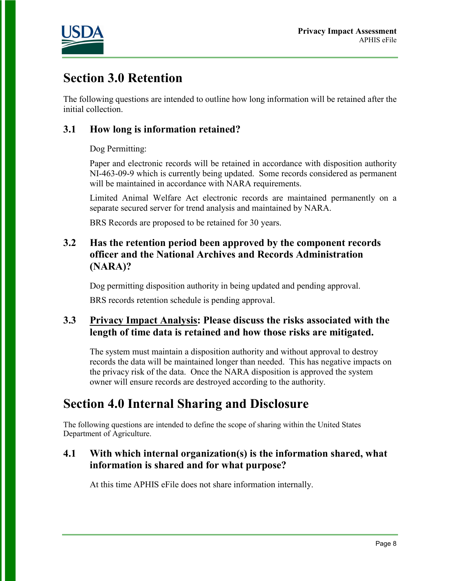

## **Section 3.0 Retention**

The following questions are intended to outline how long information will be retained after the initial collection.

#### **3.1 How long is information retained?**

Dog Permitting:

Paper and electronic records will be retained in accordance with disposition authority NI-463-09-9 which is currently being updated. Some records considered as permanent will be maintained in accordance with NARA requirements.

Limited Animal Welfare Act electronic records are maintained permanently on a separate secured server for trend analysis and maintained by NARA.

BRS Records are proposed to be retained for 30 years.

#### **3.2 Has the retention period been approved by the component records officer and the National Archives and Records Administration (NARA)?**

Dog permitting disposition authority in being updated and pending approval.

BRS records retention schedule is pending approval.

#### **3.3 Privacy Impact Analysis: Please discuss the risks associated with the length of time data is retained and how those risks are mitigated.**

The system must maintain a disposition authority and without approval to destroy records the data will be maintained longer than needed. This has negative impacts on the privacy risk of the data. Once the NARA disposition is approved the system owner will ensure records are destroyed according to the authority.

## **Section 4.0 Internal Sharing and Disclosure**

The following questions are intended to define the scope of sharing within the United States Department of Agriculture.

#### **4.1 With which internal organization(s) is the information shared, what information is shared and for what purpose?**

At this time APHIS eFile does not share information internally.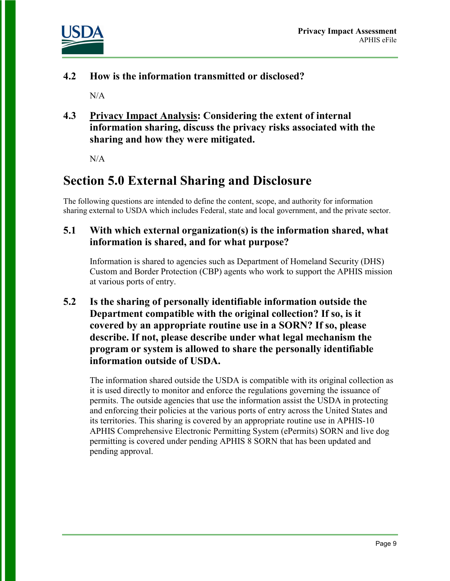

**4.2 How is the information transmitted or disclosed?** 

 $N/A$ 

**4.3 Privacy Impact Analysis: Considering the extent of internal information sharing, discuss the privacy risks associated with the sharing and how they were mitigated.** 

N/A

## **Section 5.0 External Sharing and Disclosure**

The following questions are intended to define the content, scope, and authority for information sharing external to USDA which includes Federal, state and local government, and the private sector.

#### **5.1 With which external organization(s) is the information shared, what information is shared, and for what purpose?**

Information is shared to agencies such as Department of Homeland Security (DHS) Custom and Border Protection (CBP) agents who work to support the APHIS mission at various ports of entry.

**5.2 Is the sharing of personally identifiable information outside the Department compatible with the original collection? If so, is it covered by an appropriate routine use in a SORN? If so, please describe. If not, please describe under what legal mechanism the program or system is allowed to share the personally identifiable information outside of USDA.** 

The information shared outside the USDA is compatible with its original collection as it is used directly to monitor and enforce the regulations governing the issuance of permits. The outside agencies that use the information assist the USDA in protecting and enforcing their policies at the various ports of entry across the United States and its territories. This sharing is covered by an appropriate routine use in [APHIS-10](http://www.ocio.usda.gov/sites/default/files/docs/2012/APHIS-10_APHIS_Comprehensive_Electronic_Permitting_System%28ePermits%29.txt) APHIS [Comprehensive](http://www.ocio.usda.gov/sites/default/files/docs/2012/APHIS-10_APHIS_Comprehensive_Electronic_Permitting_System%28ePermits%29.txt) Electronic Permitting System (ePermits) SORN and live dog permitting is covered under pending APHIS 8 SORN that has been updated and pending approval.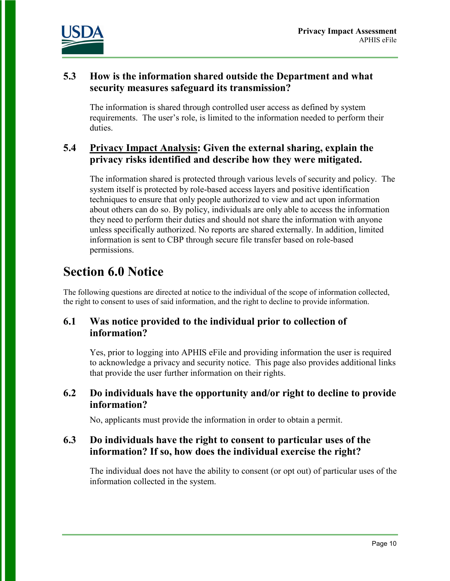

#### **5.3 How is the information shared outside the Department and what security measures safeguard its transmission?**

The information is shared through controlled user access as defined by system requirements. The user's role, is limited to the information needed to perform their duties.

#### **5.4 Privacy Impact Analysis: Given the external sharing, explain the privacy risks identified and describe how they were mitigated.**

The information shared is protected through various levels of security and policy. The system itself is protected by role-based access layers and positive identification techniques to ensure that only people authorized to view and act upon information about others can do so. By policy, individuals are only able to access the information they need to perform their duties and should not share the information with anyone unless specifically authorized. No reports are shared externally. In addition, limited information is sent to CBP through secure file transfer based on role-based permissions.

## **Section 6.0 Notice**

The following questions are directed at notice to the individual of the scope of information collected, the right to consent to uses of said information, and the right to decline to provide information.

#### **6.1 Was notice provided to the individual prior to collection of information?**

Yes, prior to logging into APHIS eFile and providing information the user is required to acknowledge a privacy and security notice. This page also provides additional links that provide the user further information on their rights.

#### **6.2 Do individuals have the opportunity and/or right to decline to provide information?**

No, applicants must provide the information in order to obtain a permit.

#### **6.3 Do individuals have the right to consent to particular uses of the information? If so, how does the individual exercise the right?**

The individual does not have the ability to consent (or opt out) of particular uses of the information collected in the system.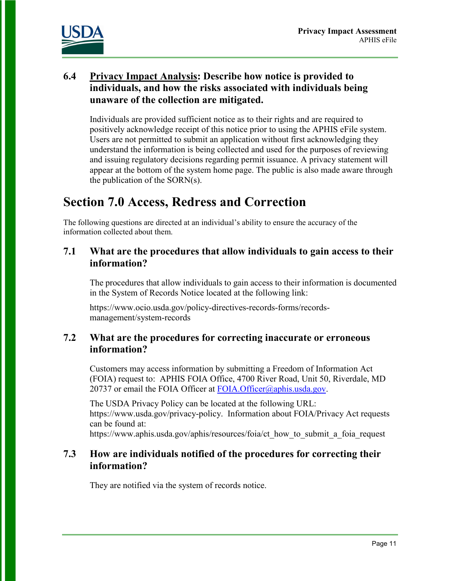

#### **6.4 Privacy Impact Analysis: Describe how notice is provided to individuals, and how the risks associated with individuals being unaware of the collection are mitigated.**

Individuals are provided sufficient notice as to their rights and are required to positively acknowledge receipt of this notice prior to using the APHIS eFile system. Users are not permitted to submit an application without first acknowledging they understand the information is being collected and used for the purposes of reviewing and issuing regulatory decisions regarding permit issuance. A privacy statement will appear at the bottom of the system home page. The public is also made aware through the publication of the SORN(s).

## **Section 7.0 Access, Redress and Correction**

The following questions are directed at an individual's ability to ensure the accuracy of the information collected about them.

#### **7.1 What are the procedures that allow individuals to gain access to their information?**

The procedures that allow individuals to gain access to their information is documented in the System of Records Notice located at the following link:

https://www.ocio.usda.gov/policy-directives-records-forms/recordsmanagement/system-records

#### **7.2 What are the procedures for correcting inaccurate or erroneous information?**

Customers may access information by submitting a Freedom of Information Act (FOIA) request to: APHIS FOIA Office, 4700 River Road, Unit 50, Riverdale, MD 20737 or email the FOIA Officer at FOIA. Officer $(a)$ <sub>aphis.usda.gov.</sub>

The USDA Privacy Policy can be located at the following URL: https://www.usda.gov/privacy-policy. Information about FOIA/Privacy Act requests can be found at:

https://www.aphis.usda.gov/aphis/resources/foia/ct\_how\_to\_submit\_a\_foia\_request

#### **7.3 How are individuals notified of the procedures for correcting their information?**

They are notified via the system of records notice.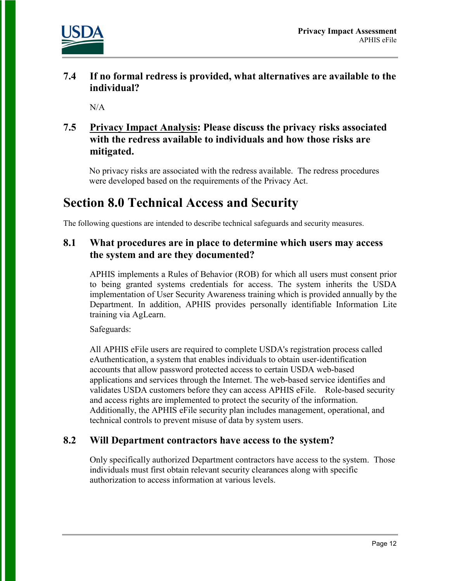

**7.4 If no formal redress is provided, what alternatives are available to the individual?** 

 $N/A$ 

#### **7.5 Privacy Impact Analysis: Please discuss the privacy risks associated with the redress available to individuals and how those risks are mitigated.**

No privacy risks are associated with the redress available. The redress procedures were developed based on the requirements of the Privacy Act.

## **Section 8.0 Technical Access and Security**

The following questions are intended to describe technical safeguards and security measures.

#### **8.1 What procedures are in place to determine which users may access the system and are they documented?**

APHIS implements a Rules of Behavior (ROB) for which all users must consent prior to being granted systems credentials for access. The system inherits the USDA implementation of User Security Awareness training which is provided annually by the Department. In addition, APHIS provides personally identifiable Information Lite training via AgLearn.

Safeguards:

All APHIS eFile users are required to complete USDA's registration process called eAuthentication, a system that enables individuals to obtain user-identification accounts that allow password protected access to certain USDA web-based applications and services through the Internet. The web-based service identifies and validates USDA customers before they can access APHIS eFile. Role-based security and access rights are implemented to protect the security of the information. Additionally, the APHIS eFile security plan includes management, operational, and technical controls to prevent misuse of data by system users.

#### **8.2 Will Department contractors have access to the system?**

Only specifically authorized Department contractors have access to the system. Those individuals must first obtain relevant security clearances along with specific authorization to access information at various levels.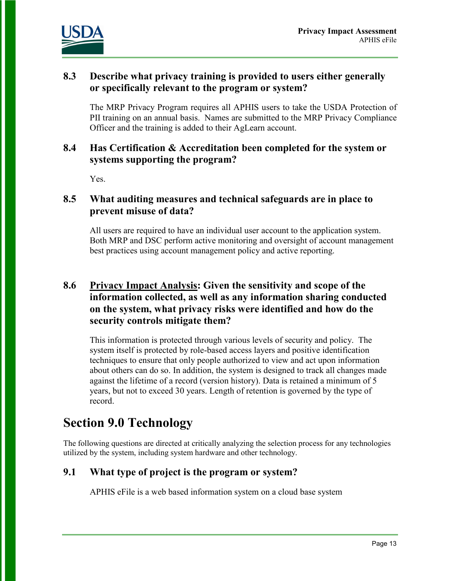

#### **8.3 Describe what privacy training is provided to users either generally or specifically relevant to the program or system?**

The MRP Privacy Program requires all APHIS users to take the USDA Protection of PII training on an annual basis. Names are submitted to the MRP Privacy Compliance Officer and the training is added to their AgLearn account.

#### **8.4 Has Certification & Accreditation been completed for the system or systems supporting the program?**

Yes.

#### **8.5 What auditing measures and technical safeguards are in place to prevent misuse of data?**

All users are required to have an individual user account to the application system. Both MRP and DSC perform active monitoring and oversight of account management best practices using account management policy and active reporting.

#### **8.6 Privacy Impact Analysis: Given the sensitivity and scope of the information collected, as well as any information sharing conducted on the system, what privacy risks were identified and how do the security controls mitigate them?**

This information is protected through various levels of security and policy. The system itself is protected by role-based access layers and positive identification techniques to ensure that only people authorized to view and act upon information about others can do so. In addition, the system is designed to track all changes made against the lifetime of a record (version history). Data is retained a minimum of 5 years, but not to exceed 30 years. Length of retention is governed by the type of record.

## **Section 9.0 Technology**

The following questions are directed at critically analyzing the selection process for any technologies utilized by the system, including system hardware and other technology.

#### **9.1 What type of project is the program or system?**

APHIS eFile is a web based information system on a cloud base system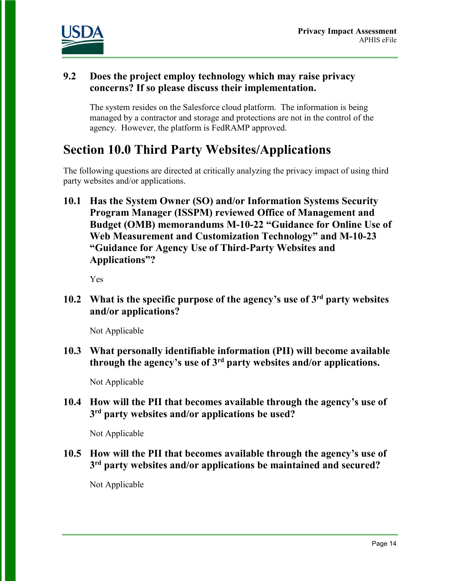

#### **9.2 Does the project employ technology which may raise privacy concerns? If so please discuss their implementation.**

The system resides on the Salesforce cloud platform. The information is being managed by a contractor and storage and protections are not in the control of the agency. However, the platform is FedRAMP approved.

### **Section 10.0 Third Party Websites/Applications**

The following questions are directed at critically analyzing the privacy impact of using third party websites and/or applications.

**10.1 Has the System Owner (SO) and/or Information Systems Security Program Manager (ISSPM) reviewed Office of Management and Budget (OMB) memorandums M-10-22 "Guidance for Online Use of Web Measurement and Customization Technology" and M-10-23 "Guidance for Agency Use of Third-Party Websites and Applications"?**

Yes

**10.2 What is the specific purpose of the agency's use of 3rd party websites and/or applications?**

Not Applicable

**10.3 What personally identifiable information (PII) will become available through the agency's use of 3rd party websites and/or applications.**

Not Applicable

**10.4 How will the PII that becomes available through the agency's use of 3rd party websites and/or applications be used?**

Not Applicable

**10.5 How will the PII that becomes available through the agency's use of 3rd party websites and/or applications be maintained and secured?**

Not Applicable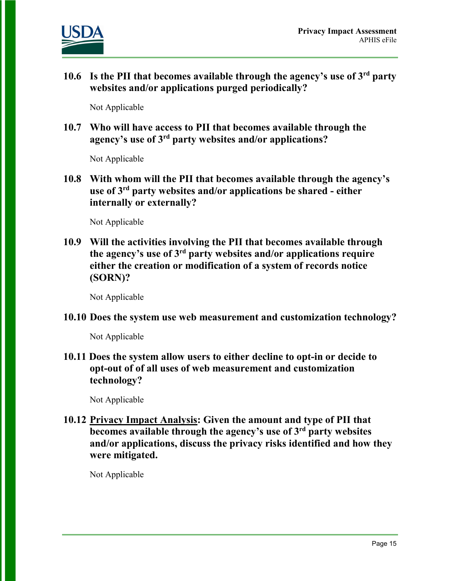

**10.6 Is the PII that becomes available through the agency's use of 3rd party websites and/or applications purged periodically?** 

Not Applicable

**10.7 Who will have access to PII that becomes available through the agency's use of 3rd party websites and/or applications?**

Not Applicable

**10.8 With whom will the PII that becomes available through the agency's use of 3rd party websites and/or applications be shared - either internally or externally?**

Not Applicable

**10.9 Will the activities involving the PII that becomes available through the agency's use of 3rd party websites and/or applications require either the creation or modification of a system of records notice (SORN)?**

Not Applicable

**10.10 Does the system use web measurement and customization technology?**

Not Applicable

**10.11 Does the system allow users to either decline to opt-in or decide to opt-out of of all uses of web measurement and customization technology?**

Not Applicable

**10.12 Privacy Impact Analysis: Given the amount and type of PII that becomes available through the agency's use of 3rd party websites and/or applications, discuss the privacy risks identified and how they were mitigated.** 

Not Applicable